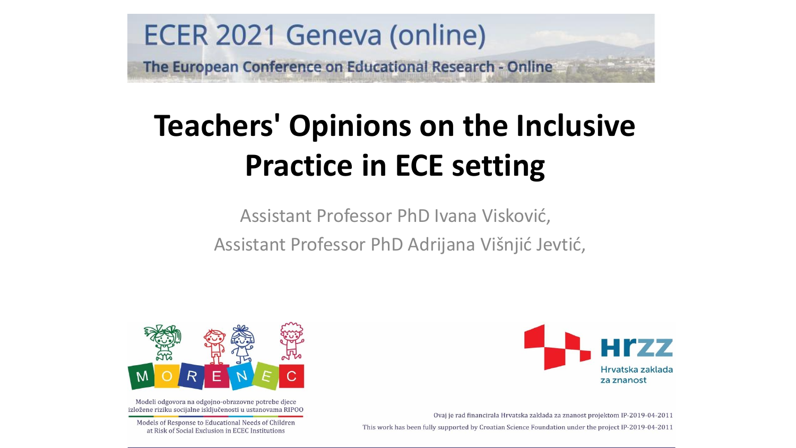

## **Teachers' Opinions on the Inclusive Practice in ECE setting**

Assistant Professor PhD Ivana Visković, Assistant Professor PhD Adrijana Višnjić Jevtić,



Modeli odgovora na odgojno-obrazovne potrebe djece izložene riziku socijalne isključenosti u ustanovama RIPOO

Models of Response to Educational Needs of Children at Risk of Social Exclusion in ECEC Institutions



Ovaj je rad financirala Hrvatska zaklada za znanost projektom IP-2019-04-2011 This work has been fully supported by Croatian Science Foundation under the project IP-2019-04-2011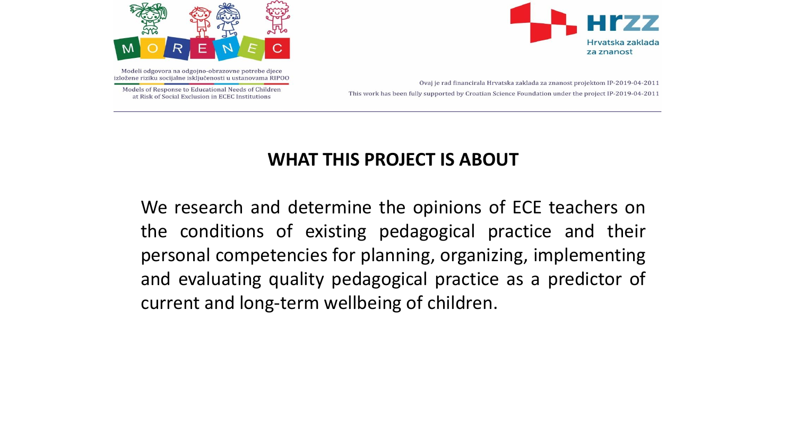



Models of Response to Educational Needs of Children at Risk of Social Exclusion in ECEC Institutions



Ovaj je rad financirala Hrvatska zaklada za znanost projektom IP-2019-04-2011 This work has been fully supported by Croatian Science Foundation under the project IP-2019-04-2011

#### **WHAT THIS PROJECT IS ABOUT**

We research and determine the opinions of ECE teachers on the conditions of existing pedagogical practice and their personal competencies for planning, organizing, implementing and evaluating quality pedagogical practice as a predictor of current and long-term wellbeing of children.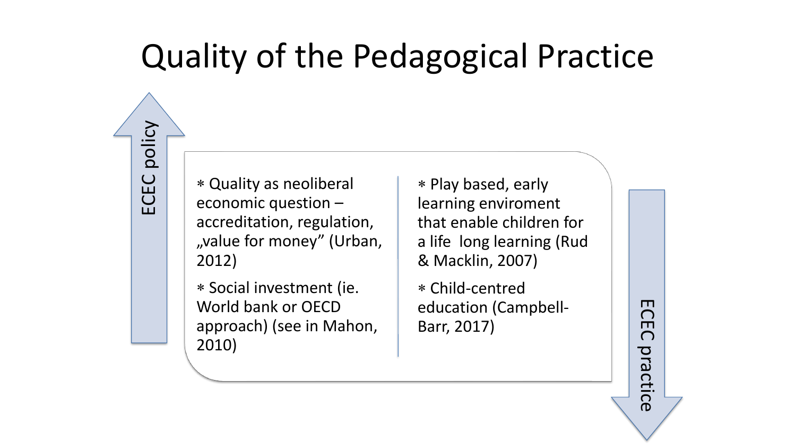## Quality of the Pedagogical Practice

 Quality as neoliberal economic question – accreditation, regulation, "value for money" (Urban, 2012)

ECEC policy

 Social investment (ie. World bank or OECD approach) (see in Mahon, 2010)

 Play based, early learning enviroment that enable children for a life long learning (Rud & Macklin, 2007)

 Child-centred education (Campbell-Barr, 2017)

ECEC practice

practice

 $\Box$  $\bigcap$  $\Box$  $\bigcap$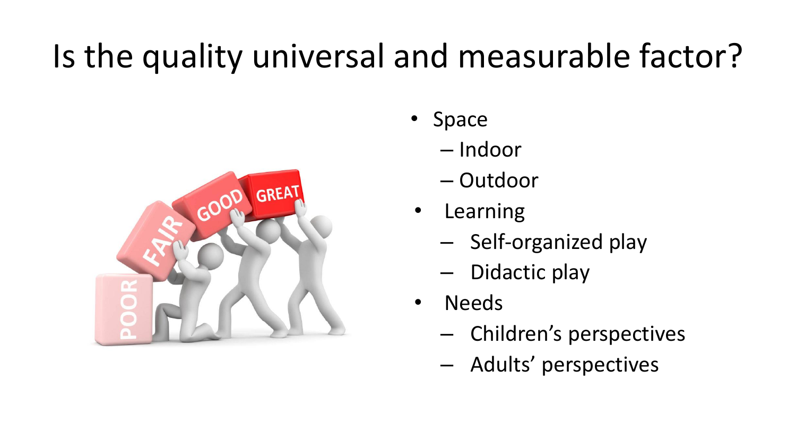# Is the quality universal and measurable factor?



- Space
	- Indoor
	- Outdoor
- **Learning** 
	- Self-organized play
	- Didactic play
- Needs
	- Children's perspectives
	- Adults' perspectives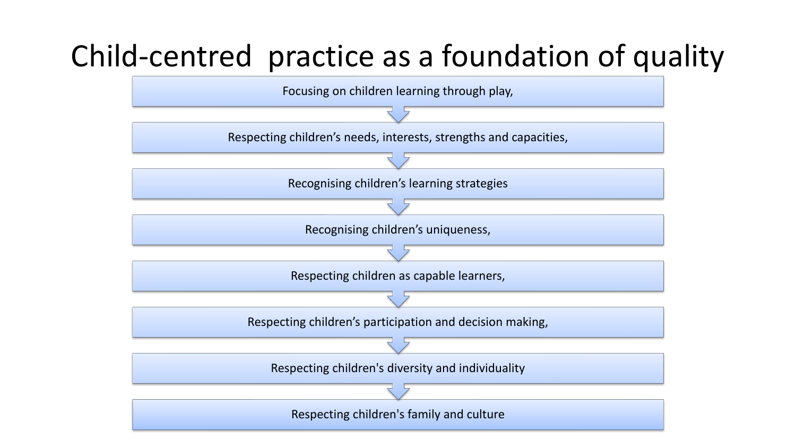#### Child-centred practice as a foundation of quality

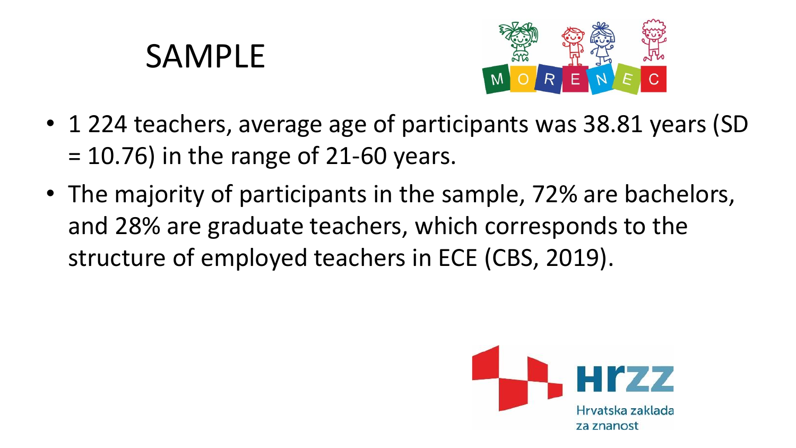### SAMPLE



- 1 224 teachers, average age of participants was 38.81 years (SD  $= 10.76$ ) in the range of 21-60 years.
- The majority of participants in the sample, 72% are bachelors, and 28% are graduate teachers, which corresponds to the structure of employed teachers in ECE (CBS, 2019).

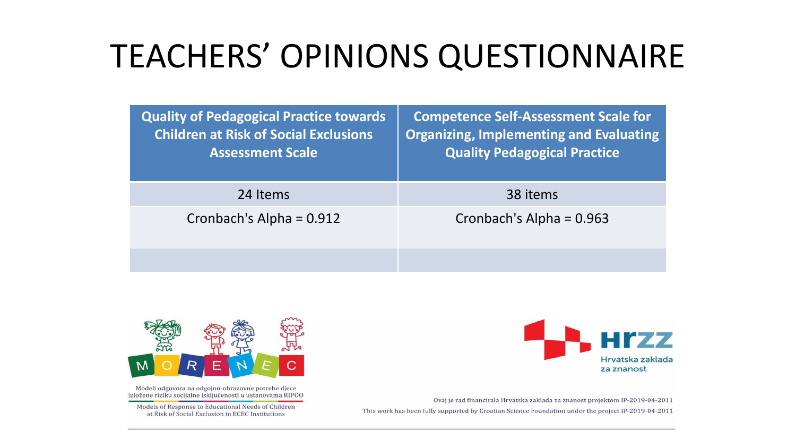## TEACHERS' OPINIONS QUESTIONNAIRE

| <b>Quality of Pedagogical Practice towards</b><br><b>Children at Risk of Social Exclusions</b><br><b>Assessment Scale</b> | <b>Competence Self-Assessment Scale for</b><br><b>Organizing, Implementing and Evaluating</b><br><b>Quality Pedagogical Practice</b> |
|---------------------------------------------------------------------------------------------------------------------------|--------------------------------------------------------------------------------------------------------------------------------------|
| 24 Items                                                                                                                  | 38 items                                                                                                                             |
| Cronbach's Alpha = $0.912$                                                                                                | Cronbach's Alpha = $0.963$                                                                                                           |
|                                                                                                                           |                                                                                                                                      |



Modeli odgovora na odgojno-obrazovne potrebe djece izložene riziku socijalne isključenosti u ustanovama RIPOO

Models of Response to Educational Needs of Children at Risk of Social Exclusion in ECEC Institutions



Ovaj je rad financirala Hrvatska zaklada za znanost projektom IP-2019-04-2011 This work has been fully supported by Croatian Science Foundation under the project IP-2019-04-2011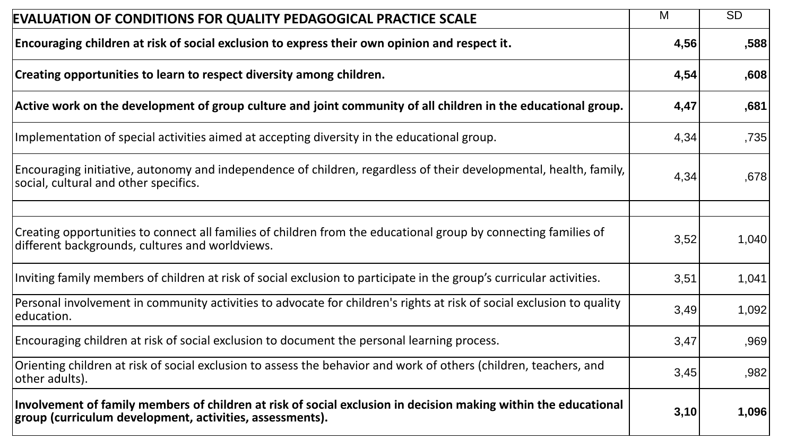| <b>EVALUATION OF CONDITIONS FOR QUALITY PEDAGOGICAL PRACTICE SCALE</b>                                                                                                      |      | SD    |
|-----------------------------------------------------------------------------------------------------------------------------------------------------------------------------|------|-------|
| Encouraging children at risk of social exclusion to express their own opinion and respect it.                                                                               | 4,56 | ,588  |
| Creating opportunities to learn to respect diversity among children.                                                                                                        | 4,54 | ,608  |
| Active work on the development of group culture and joint community of all children in the educational group.                                                               | 4,47 | ,681  |
| Implementation of special activities aimed at accepting diversity in the educational group.                                                                                 | 4,34 | ,735  |
| Encouraging initiative, autonomy and independence of children, regardless of their developmental, health, family,<br>social, cultural and other specifics.                  | 4,34 | ,678  |
|                                                                                                                                                                             |      |       |
| Creating opportunities to connect all families of children from the educational group by connecting families of<br>different backgrounds, cultures and worldviews.          | 3,52 | 1,040 |
| Inviting family members of children at risk of social exclusion to participate in the group's curricular activities.                                                        | 3,51 | 1,041 |
| Personal involvement in community activities to advocate for children's rights at risk of social exclusion to quality<br>education.                                         | 3,49 | 1,092 |
| Encouraging children at risk of social exclusion to document the personal learning process.                                                                                 | 3,47 | ,969  |
| Orienting children at risk of social exclusion to assess the behavior and work of others (children, teachers, and<br>other adults).                                         | 3,45 | ,982  |
| Involvement of family members of children at risk of social exclusion in decision making within the educational<br>group (curriculum development, activities, assessments). | 3,10 | 1,096 |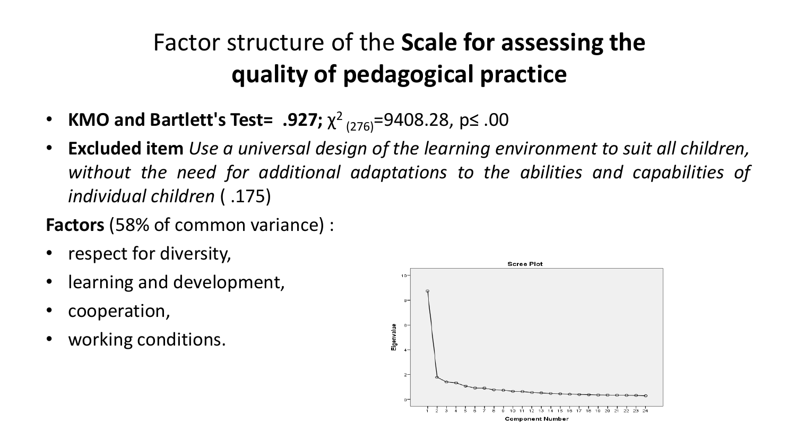#### Factor structure of the **Scale for assessing the quality of pedagogical practice**

- KMO and Bartlett's Test= .927;  $\chi^2$ <sub>(276)</sub>=9408.28, p≤ .00
- **Excluded item** *Use a universal design of the learning environment to suit all children, without the need for additional adaptations to the abilities and capabilities of individual children* ( .175)

**Factors** (58% of common variance) :

- respect for diversity,
- learning and development,
- cooperation,
- working conditions.

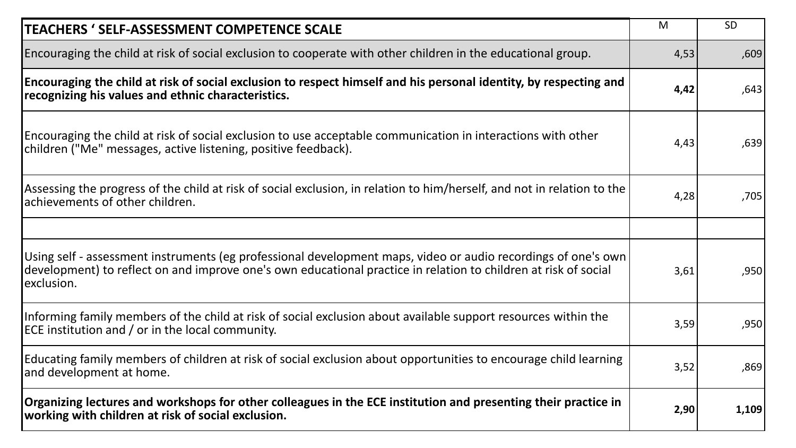| <b>TEACHERS ' SELF-ASSESSMENT COMPETENCE SCALE</b>                                                                                                                                                                                             |      | <b>SD</b> |
|------------------------------------------------------------------------------------------------------------------------------------------------------------------------------------------------------------------------------------------------|------|-----------|
| Encouraging the child at risk of social exclusion to cooperate with other children in the educational group.                                                                                                                                   | 4,53 | ,609      |
| Encouraging the child at risk of social exclusion to respect himself and his personal identity, by respecting and<br>recognizing his values and ethnic characteristics.                                                                        | 4,42 | ,643      |
| Encouraging the child at risk of social exclusion to use acceptable communication in interactions with other<br>children ("Me" messages, active listening, positive feedback).                                                                 | 4,43 | ,639      |
| Assessing the progress of the child at risk of social exclusion, in relation to him/herself, and not in relation to the<br>achievements of other children.                                                                                     | 4,28 | ,705      |
|                                                                                                                                                                                                                                                |      |           |
| Using self - assessment instruments (eg professional development maps, video or audio recordings of one's own<br>development) to reflect on and improve one's own educational practice in relation to children at risk of social<br>exclusion. | 3,61 | ,950      |
| Informing family members of the child at risk of social exclusion about available support resources within the<br>ECE institution and / or in the local community.                                                                             | 3,59 | ,950      |
| Educating family members of children at risk of social exclusion about opportunities to encourage child learning<br>and development at home.                                                                                                   | 3,52 | ,869      |
| Organizing lectures and workshops for other colleagues in the ECE institution and presenting their practice in<br>working with children at risk of social exclusion.                                                                           | 2,90 | 1,109     |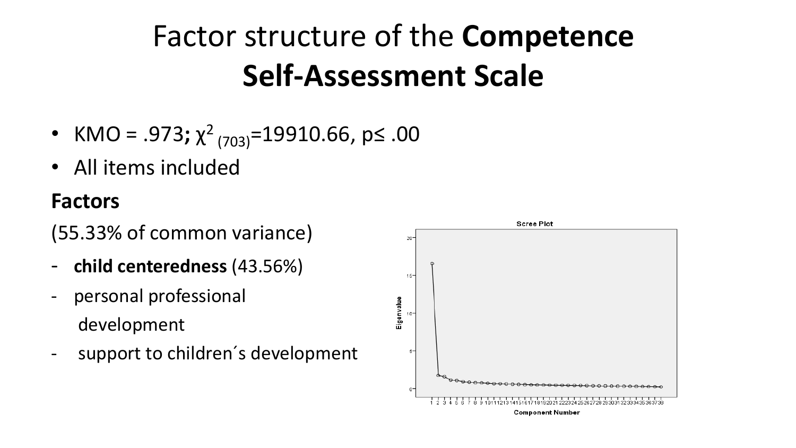## Factor structure of the **Competence Self-Assessment Scale**

- KMO = .973;  $\chi^2$ <sub>(703)</sub>=19910.66, p≤ .00
- All items included

#### **Factors**

(55.33% of common variance)

- **child centeredness** (43.56%)
- personal professional development
- support to children's development

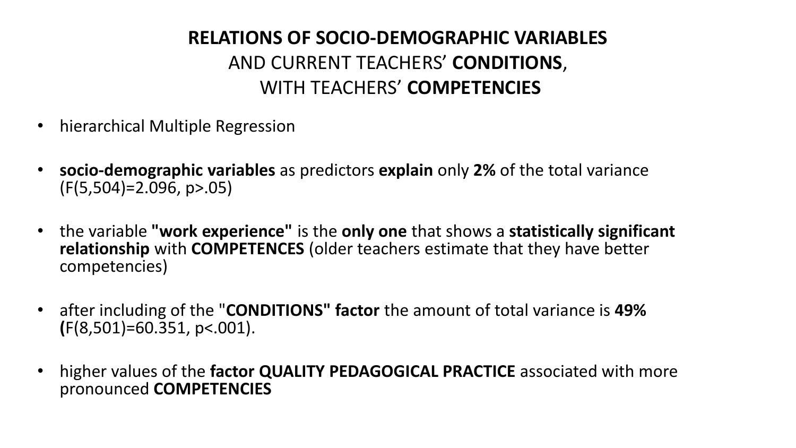#### **RELATIONS OF SOCIO-DEMOGRAPHIC VARIABLES** AND CURRENT TEACHERS' **CONDITIONS**, WITH TEACHERS' **COMPETENCIES**

- hierarchical Multiple Regression
- **socio-demographic variables** as predictors **explain** only **2%** of the total variance (F(5,504)=2.096, p>.05)
- the variable **"work experience"** is the **only one** that shows a **statistically significant relationship** with **COMPETENCES** (older teachers estimate that they have better competencies)
- after including of the "**CONDITIONS" factor** the amount of total variance is **49% (**F(8,501)=60.351, p<.001).
- higher values of the **factor QUALITY PEDAGOGICAL PRACTICE** associated with more pronounced **COMPETENCIES**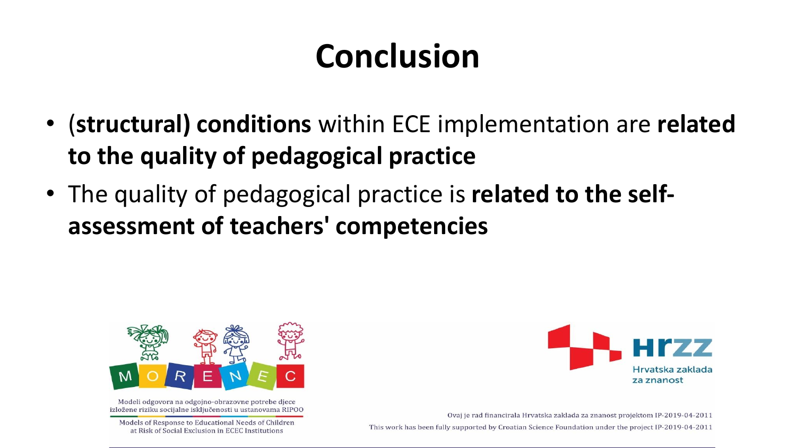## **Conclusion**

- (**structural) conditions** within ECE implementation are **related to the quality of pedagogical practice**
- The quality of pedagogical practice is **related to the selfassessment of teachers' competencies**



Modeli odgovora na odgojno-obrazovne potrebe djece izložene riziku socijalne isključenosti u ustanovama RIPOO

Models of Response to Educational Needs of Children at Risk of Social Exclusion in ECEC Institutions